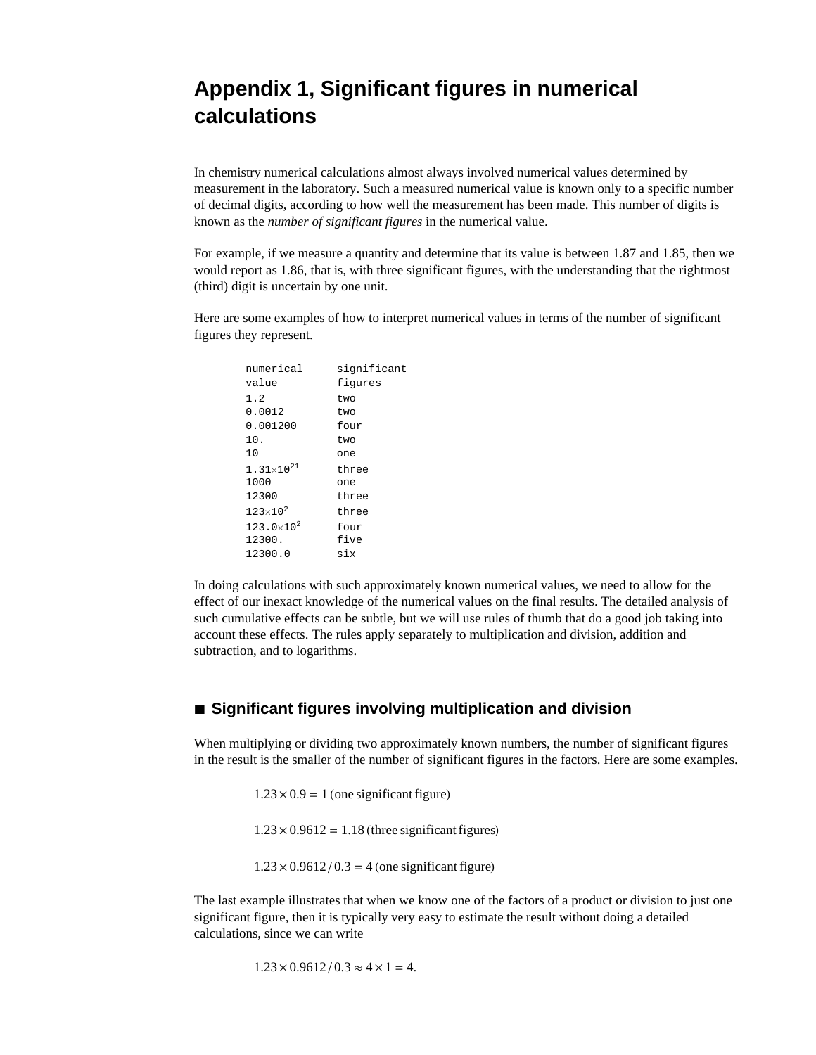# Appendix 1, Significant figures in numerical calculations

In chemistry numerical calculations almost always involved numerical values determined by measurement in the laboratory. Such a measured numerical value is known only to a specific number of decimal digits, according to how well the measurement has been made. This number of digits is known as the *number of significant figures* in the numerical value.

For example, if we measure a quantity and determine that its value is between 1.87 and 1.85, then we would report as 1.86, that is, with three significant figures, with the understanding that the rightmost (third) digit is uncertain by one unit.

Here are some examples of how to interpret numerical values in terms of the number of significant figures they represent.

| numerical                    | significant |
|------------------------------|-------------|
| value                        | fiqures     |
| 1.2                          | t.wo        |
| 0.0012                       | two         |
| 0.001200                     | four        |
| 10.                          | t.wo        |
| 10                           | one         |
| $1.31 \times 10^{21}$        | three       |
| 1000                         | one         |
| 12300                        | three       |
| 123 $\times$ 10 <sup>2</sup> | three       |
| $123.0\times10^{2}$          | four        |
| 12300.                       | five        |
| 12300.0                      | six         |
|                              |             |

In doing calculations with such approximately known numerical values, we need to allow for the effect of our inexact knowledge of the numerical values on the final results. The detailed analysis of such cumulative effects can be subtle, but we will use rules of thumb that do a good job taking into account these effects. The rules apply separately to multiplication and division, addition and subtraction, and to logarithms.

# ■ Significant figures involving multiplication and division

When multiplying or dividing two approximately known numbers, the number of significant figures in the result is the smaller of the number of significant figures in the factors. Here are some examples.

 $1.23 \times 0.9 = 1$  (one significant figure)

 $1.23 \times 0.9612 = 1.18$  (three significant figures)

 $1.23 \times 0.9612 / 0.3 = 4$  (one significant figure)

The last example illustrates that when we know one of the factors of a product or division to just one significant figure, then it is typically very easy to estimate the result without doing a detailed calculations, since we can write

 $1.23 \times 0.9612 / 0.3 \approx 4 \times 1 = 4.$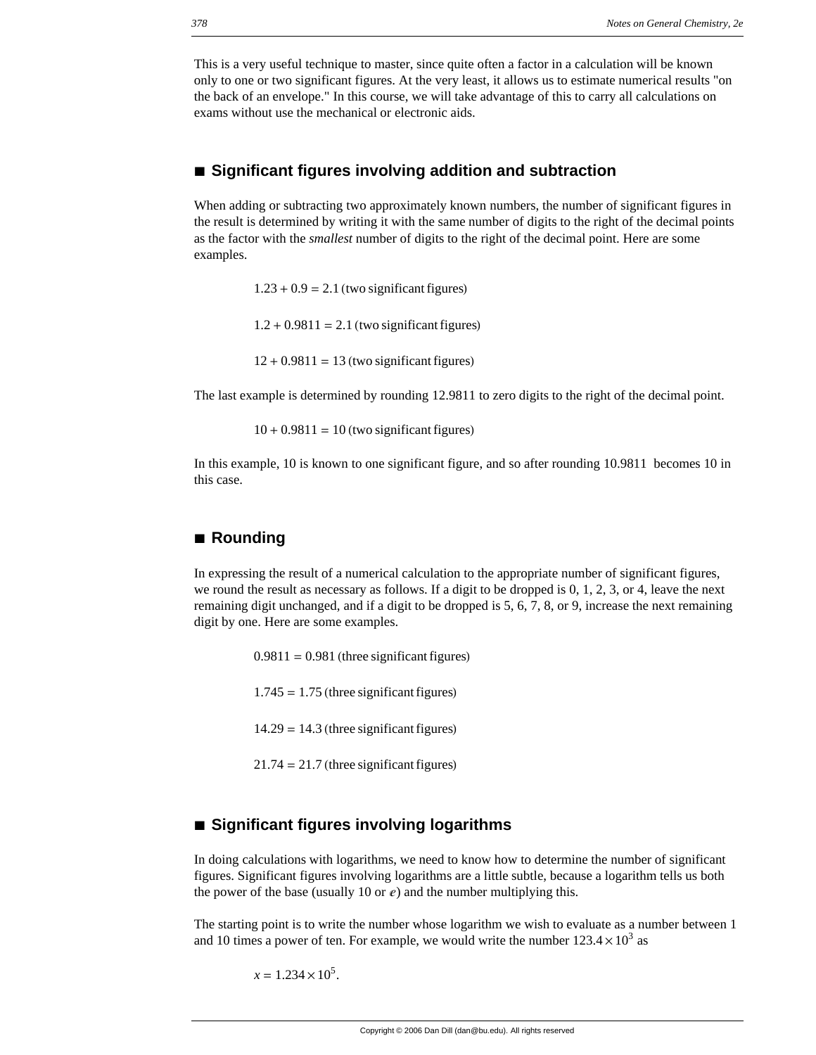This is a very useful technique to master, since quite often a factor in a calculation will be known only to one or two significant figures. At the very least, it allows us to estimate numerical results "on the back of an envelope." In this course, we will take advantage of this to carry all calculations on exams without use the mechanical or electronic aids.

## **à Significant figures involving addition and subtraction**

When adding or subtracting two approximately known numbers, the number of significant figures in the result is determined by writing it with the same number of digits to the right of the decimal points as the factor with the *smallest* number of digits to the right of the decimal point. Here are some examples.

 $1.23 + 0.9 = 2.1$  (two significant figures)

 $1.2 + 0.9811 = 2.1$  (two significant figures)

 $12 + 0.9811 = 13$  (two significant figures)

The last example is determined by rounding 12.9811 to zero digits to the right of the decimal point.

 $10 + 0.9811 = 10$  (two significant figures)

In this example, 10 is known to one significant figure, and so after rounding 10.9811 becomes 10 in this case.

#### **à Rounding**

In expressing the result of a numerical calculation to the appropriate number of significant figures, we round the result as necessary as follows. If a digit to be dropped is 0, 1, 2, 3, or 4, leave the next remaining digit unchanged, and if a digit to be dropped is 5, 6, 7, 8, or 9, increase the next remaining digit by one. Here are some examples.

> $0.9811 = 0.981$  (three significant figures)  $1.745 = 1.75$  (three significant figures)  $14.29 = 14.3$  (three significant figures)  $21.74 = 21.7$  (three significant figures)

### ■ Significant figures involving logarithms

In doing calculations with logarithms, we need to know how to determine the number of significant figures. Significant figures involving logarithms are a little subtle, because a logarithm tells us both the power of the base (usually 10 or  $e$ ) and the number multiplying this.

The starting point is to write the number whose logarithm we wish to evaluate as a number between 1 and 10 times a power of ten. For example, we would write the number  $123.4 \times 10^3$  as

 $x = 1.234 \times 10^5$ .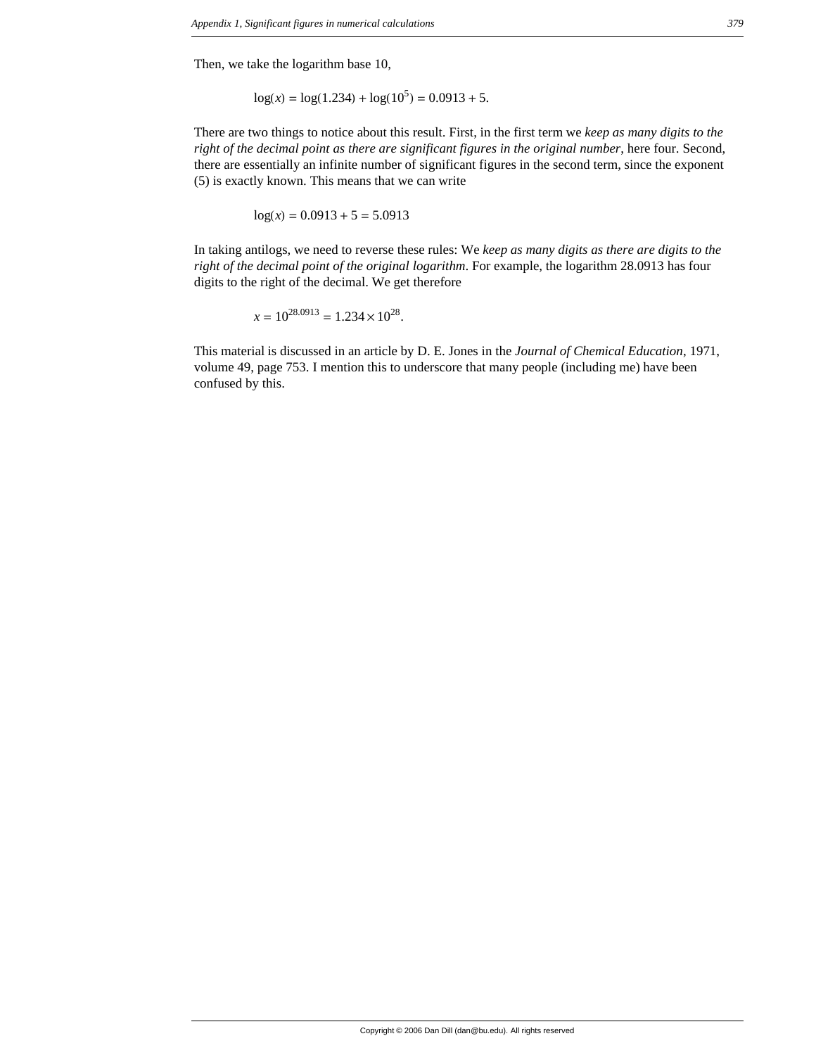Then, we take the logarithm base 10,

$$
\log(x) = \log(1.234) + \log(10^5) = 0.0913 + 5.
$$

There are two things to notice about this result. First, in the first term we *keep as many digits to the right of the decimal point as there are significant figures in the original number*, here four. Second, there are essentially an infinite number of significant figures in the second term, since the exponent (5) is exactly known. This means that we can write

$$
\log(x) = 0.0913 + 5 = 5.0913
$$

In taking antilogs, we need to reverse these rules: We *keep as many digits as there are digits to the right of the decimal point of the original logarithm*. For example, the logarithm 28.0913 has four digits to the right of the decimal. We get therefore

$$
x = 10^{28.0913} = 1.234 \times 10^{28}.
$$

This material is discussed in an article by D. E. Jones in the *Journal of Chemical Education*, 1971, volume 49, page 753. I mention this to underscore that many people (including me) have been confused by this.